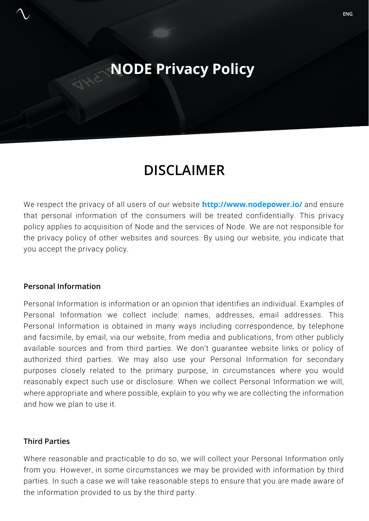# **NODE Privacy Policy**

## **DISCLAIMER**

We respect the privacy of all users of our website **http://www.nodepower.io/** and ensure that personal information of the consumers will be treated confidentially. This privacy policy applies to acquisition of Node and the services of Node. We are not responsible for the privacy policy of other websites and sources. By using our website, you indicate that you accept the privacy policy.

#### **Personal Information**

Personal Information is information or an opinion that identifies an individual. Examples of Personal Information we collect include: names, addresses, email addresses. This Personal Information is obtained in many ways including correspondence, by telephone and facsimile, by email, via our website, from media and publications, from other publicly available sources and from third parties. We don't guarantee website links or policy of authorized third parties. We may also use your Personal Information for secondary purposes closely related to the primary purpose, in circumstances where you would reasonably expect such use or disclosure. When we collect Personal Information we will, where appropriate and where possible, explain to you why we are collecting the information and how we plan to use it.

#### **Third Parties**

Where reasonable and practicable to do so, we will collect your Personal Information only from you. However, in some circumstances we may be provided with information by third parties. In such a case we will take reasonable steps to ensure that you are made aware of the information provided to us by the third party.